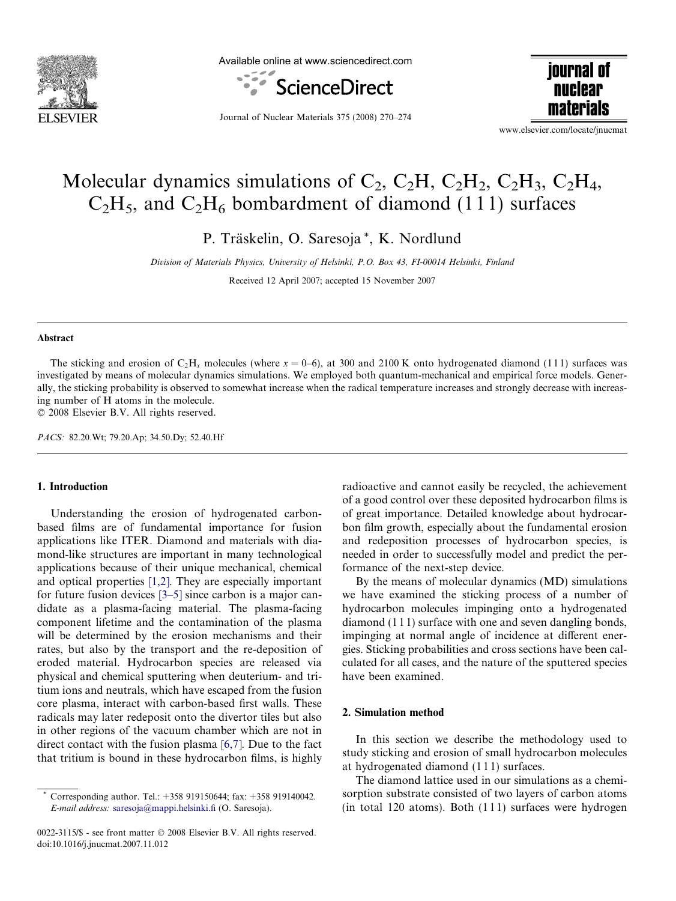

Available online at www.sciencedirect.com



iournal of nuclear materials

Journal of Nuclear Materials 375 (2008) 270–274

www.elsevier.com/locate/jnucmat

# Molecular dynamics simulations of  $C_2$ ,  $C_2H$ ,  $C_2H_2$ ,  $C_2H_3$ ,  $C_2H_4$ ,  $C_2H_5$ , and  $C_2H_6$  bombardment of diamond (111) surfaces

P. Träskelin, O. Saresoja\*, K. Nordlund

Division of Materials Physics, University of Helsinki, P.O. Box 43, FI-00014 Helsinki, Finland

Received 12 April 2007; accepted 15 November 2007

#### Abstract

The sticking and erosion of C<sub>2</sub>H<sub>x</sub> molecules (where  $x = 0-6$ ), at 300 and 2100 K onto hydrogenated diamond (111) surfaces was investigated by means of molecular dynamics simulations. We employed both quantum-mechanical and empirical force models. Generally, the sticking probability is observed to somewhat increase when the radical temperature increases and strongly decrease with increasing number of H atoms in the molecule.

© 2008 Elsevier B.V. All rights reserved.

PACS: 82.20.Wt; 79.20.Ap; 34.50.Dy; 52.40.Hf

## 1. Introduction

Understanding the erosion of hydrogenated carbonbased films are of fundamental importance for fusion applications like ITER. Diamond and materials with diamond-like structures are important in many technological applications because of their unique mechanical, chemical and optical properties [\[1,2\]](#page-4-0). They are especially important for future fusion devices [\[3–5\]](#page-4-0) since carbon is a major candidate as a plasma-facing material. The plasma-facing component lifetime and the contamination of the plasma will be determined by the erosion mechanisms and their rates, but also by the transport and the re-deposition of eroded material. Hydrocarbon species are released via physical and chemical sputtering when deuterium- and tritium ions and neutrals, which have escaped from the fusion core plasma, interact with carbon-based first walls. These radicals may later redeposit onto the divertor tiles but also in other regions of the vacuum chamber which are not in direct contact with the fusion plasma [\[6,7\].](#page-4-0) Due to the fact that tritium is bound in these hydrocarbon films, is highly

radioactive and cannot easily be recycled, the achievement of a good control over these deposited hydrocarbon films is of great importance. Detailed knowledge about hydrocarbon film growth, especially about the fundamental erosion and redeposition processes of hydrocarbon species, is needed in order to successfully model and predict the performance of the next-step device.

By the means of molecular dynamics (MD) simulations we have examined the sticking process of a number of hydrocarbon molecules impinging onto a hydrogenated diamond (1 1 1) surface with one and seven dangling bonds, impinging at normal angle of incidence at different energies. Sticking probabilities and cross sections have been calculated for all cases, and the nature of the sputtered species have been examined.

## 2. Simulation method

In this section we describe the methodology used to study sticking and erosion of small hydrocarbon molecules at hydrogenated diamond (1 1 1) surfaces.

The diamond lattice used in our simulations as a chemisorption substrate consisted of two layers of carbon atoms  $(in total 120 atoms)$ . Both  $(111)$  surfaces were hydrogen

Corresponding author. Tel.: +358 919150644; fax: +358 919140042. E-mail address: [saresoja@mappi.helsinki.fi](mailto:saresoja@mappi.helsinki.fi) (O. Saresoja).

<sup>0022-3115/\$ -</sup> see front matter © 2008 Elsevier B.V. All rights reserved. doi:10.1016/j.jnucmat.2007.11.012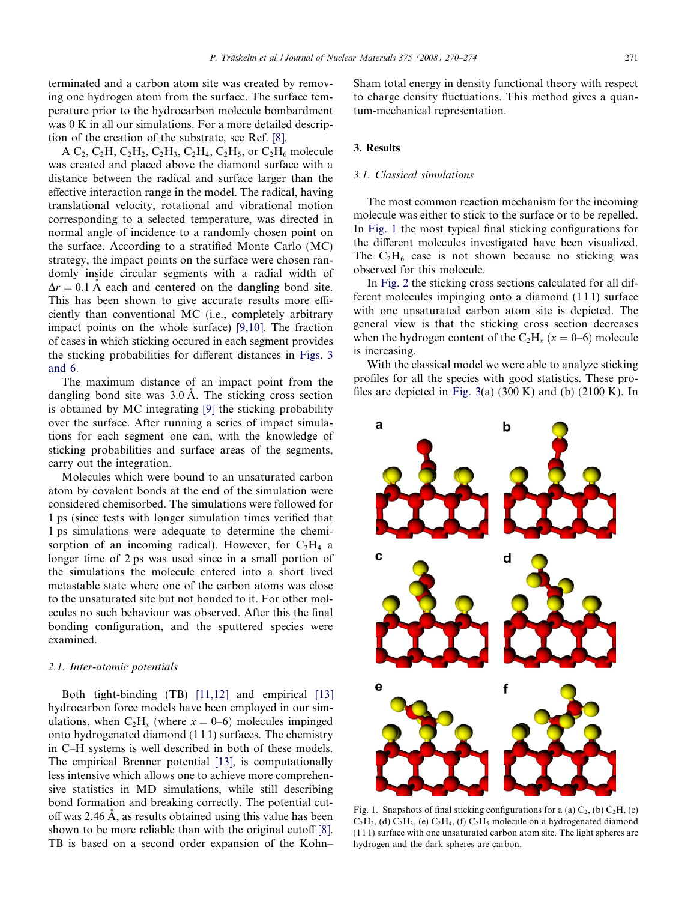terminated and a carbon atom site was created by removing one hydrogen atom from the surface. The surface temperature prior to the hydrocarbon molecule bombardment was 0 K in all our simulations. For a more detailed description of the creation of the substrate, see Ref. [\[8\].](#page-4-0)

A C<sub>2</sub>, C<sub>2</sub>H<sub>1</sub>, C<sub>2</sub>H<sub>2</sub>, C<sub>2</sub>H<sub>4</sub>, C<sub>2</sub>H<sub>5</sub>, or C<sub>2</sub>H<sub>6</sub> molecule was created and placed above the diamond surface with a distance between the radical and surface larger than the effective interaction range in the model. The radical, having translational velocity, rotational and vibrational motion corresponding to a selected temperature, was directed in normal angle of incidence to a randomly chosen point on the surface. According to a stratified Monte Carlo (MC) strategy, the impact points on the surface were chosen randomly inside circular segments with a radial width of  $\Delta r = 0.1$  Å each and centered on the dangling bond site. This has been shown to give accurate results more efficiently than conventional MC (i.e., completely arbitrary impact points on the whole surface) [\[9,10\].](#page-4-0) The fraction of cases in which sticking occured in each segment provides the sticking probabilities for different distances in [Figs. 3](#page-2-0) [and 6.](#page-2-0)

The maximum distance of an impact point from the dangling bond site was  $3.0 \text{ Å}$ . The sticking cross section is obtained by MC integrating [\[9\]](#page-4-0) the sticking probability over the surface. After running a series of impact simulations for each segment one can, with the knowledge of sticking probabilities and surface areas of the segments, carry out the integration.

Molecules which were bound to an unsaturated carbon atom by covalent bonds at the end of the simulation were considered chemisorbed. The simulations were followed for 1 ps (since tests with longer simulation times verified that 1 ps simulations were adequate to determine the chemisorption of an incoming radical). However, for  $C_2H_4$  a longer time of 2 ps was used since in a small portion of the simulations the molecule entered into a short lived metastable state where one of the carbon atoms was close to the unsaturated site but not bonded to it. For other molecules no such behaviour was observed. After this the final bonding configuration, and the sputtered species were examined.

## 2.1. Inter-atomic potentials

Both tight-binding (TB) [\[11,12\]](#page-4-0) and empirical [\[13\]](#page-4-0) hydrocarbon force models have been employed in our simulations, when  $C_2H_x$  (where  $x = 0-6$ ) molecules impinged onto hydrogenated diamond (1 1 1) surfaces. The chemistry in C–H systems is well described in both of these models. The empirical Brenner potential [\[13\],](#page-4-0) is computationally less intensive which allows one to achieve more comprehensive statistics in MD simulations, while still describing bond formation and breaking correctly. The potential cutoff was  $2.46 \text{ Å}$ , as results obtained using this value has been shown to be more reliable than with the original cutoff [\[8\].](#page-4-0) TB is based on a second order expansion of the Kohn– Sham total energy in density functional theory with respect to charge density fluctuations. This method gives a quantum-mechanical representation.

#### 3. Results

## 3.1. Classical simulations

The most common reaction mechanism for the incoming molecule was either to stick to the surface or to be repelled. In Fig. 1 the most typical final sticking configurations for the different molecules investigated have been visualized. The  $C_2H_6$  case is not shown because no sticking was observed for this molecule.

In [Fig. 2](#page-2-0) the sticking cross sections calculated for all different molecules impinging onto a diamond (1 1 1) surface with one unsaturated carbon atom site is depicted. The general view is that the sticking cross section decreases when the hydrogen content of the  $C_2H_x$   $(x = 0-6)$  molecule is increasing.

With the classical model we were able to analyze sticking profiles for all the species with good statistics. These pro-files are depicted in [Fig. 3](#page-2-0)(a) (300 K) and (b) (2100 K). In



Fig. 1. Snapshots of final sticking configurations for a (a)  $C_2$ , (b)  $C_2H$ , (c)  $C_2H_2$ , (d)  $C_2H_3$ , (e)  $C_2H_4$ , (f)  $C_2H_5$  molecule on a hydrogenated diamond (1 1 1) surface with one unsaturated carbon atom site. The light spheres are hydrogen and the dark spheres are carbon.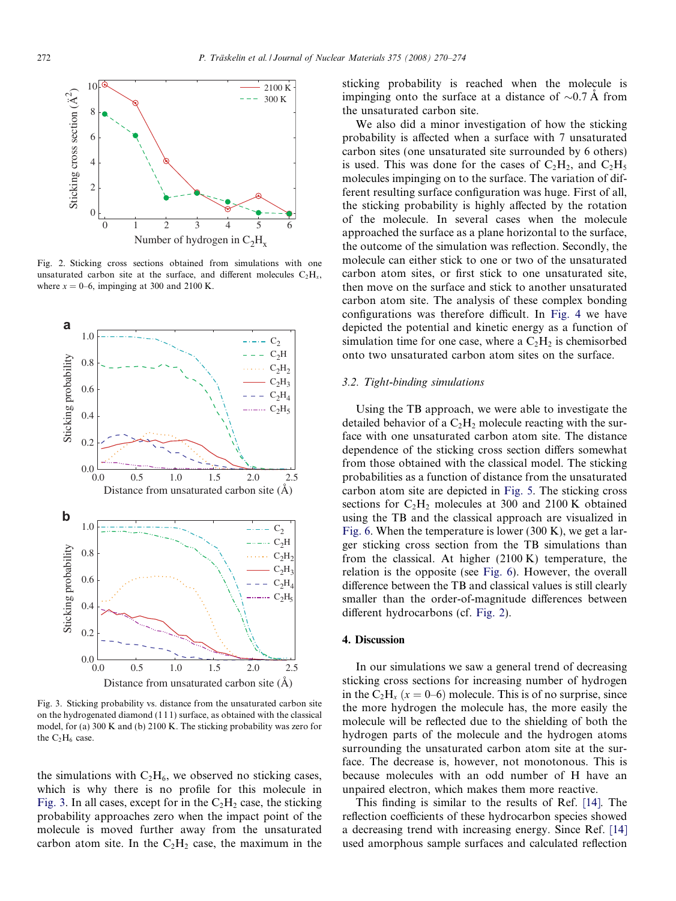<span id="page-2-0"></span>

Fig. 2. Sticking cross sections obtained from simulations with one unsaturated carbon site at the surface, and different molecules  $C_2H_x$ , where  $x = 0-6$ , impinging at 300 and 2100 K.



Fig. 3. Sticking probability vs. distance from the unsaturated carbon site on the hydrogenated diamond (1 1 1) surface, as obtained with the classical model, for (a) 300 K and (b) 2100 K. The sticking probability was zero for the  $C_2H_6$  case.

the simulations with  $C_2H_6$ , we observed no sticking cases, which is why there is no profile for this molecule in Fig. 3. In all cases, except for in the  $C_2H_2$  case, the sticking probability approaches zero when the impact point of the molecule is moved further away from the unsaturated carbon atom site. In the  $C_2H_2$  case, the maximum in the sticking probability is reached when the molecule is impinging onto the surface at a distance of  $\sim 0.7 \text{ Å}$  from the unsaturated carbon site.

We also did a minor investigation of how the sticking probability is affected when a surface with 7 unsaturated carbon sites (one unsaturated site surrounded by 6 others) is used. This was done for the cases of  $C_2H_2$ , and  $C_2H_5$ molecules impinging on to the surface. The variation of different resulting surface configuration was huge. First of all, the sticking probability is highly affected by the rotation of the molecule. In several cases when the molecule approached the surface as a plane horizontal to the surface, the outcome of the simulation was reflection. Secondly, the molecule can either stick to one or two of the unsaturated carbon atom sites, or first stick to one unsaturated site, then move on the surface and stick to another unsaturated carbon atom site. The analysis of these complex bonding configurations was therefore difficult. In [Fig. 4](#page-3-0) we have depicted the potential and kinetic energy as a function of simulation time for one case, where a  $C_2H_2$  is chemisorbed onto two unsaturated carbon atom sites on the surface.

## 3.2. Tight-binding simulations

Using the TB approach, we were able to investigate the detailed behavior of a  $C_2H_2$  molecule reacting with the surface with one unsaturated carbon atom site. The distance dependence of the sticking cross section differs somewhat from those obtained with the classical model. The sticking probabilities as a function of distance from the unsaturated carbon atom site are depicted in [Fig. 5](#page-3-0). The sticking cross sections for  $C_2H_2$  molecules at 300 and 2100 K obtained using the TB and the classical approach are visualized in [Fig. 6](#page-3-0). When the temperature is lower (300 K), we get a larger sticking cross section from the TB simulations than from the classical. At higher (2100 K) temperature, the relation is the opposite (see [Fig. 6\)](#page-3-0). However, the overall difference between the TB and classical values is still clearly smaller than the order-of-magnitude differences between different hydrocarbons (cf. Fig. 2).

## 4. Discussion

In our simulations we saw a general trend of decreasing sticking cross sections for increasing number of hydrogen in the  $C_2H_x$  ( $x = 0-6$ ) molecule. This is of no surprise, since the more hydrogen the molecule has, the more easily the molecule will be reflected due to the shielding of both the hydrogen parts of the molecule and the hydrogen atoms surrounding the unsaturated carbon atom site at the surface. The decrease is, however, not monotonous. This is because molecules with an odd number of H have an unpaired electron, which makes them more reactive.

This finding is similar to the results of Ref. [\[14\]](#page-4-0). The reflection coefficients of these hydrocarbon species showed a decreasing trend with increasing energy. Since Ref. [\[14\]](#page-4-0) used amorphous sample surfaces and calculated reflection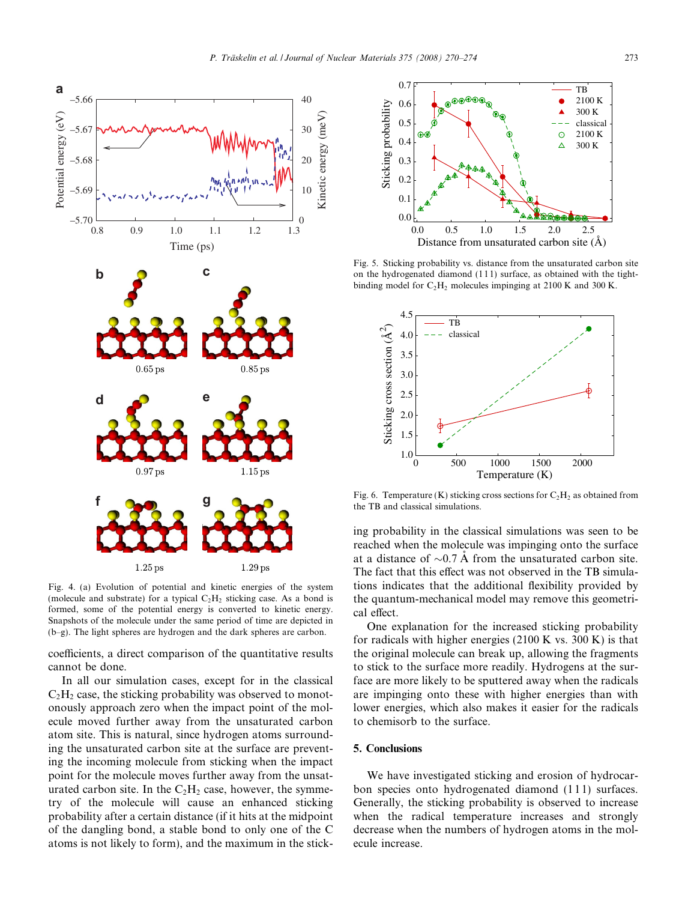<span id="page-3-0"></span>

Fig. 4. (a) Evolution of potential and kinetic energies of the system (molecule and substrate) for a typical  $C_2H_2$  sticking case. As a bond is formed, some of the potential energy is converted to kinetic energy. Snapshots of the molecule under the same period of time are depicted in (b–g). The light spheres are hydrogen and the dark spheres are carbon.

coefficients, a direct comparison of the quantitative results cannot be done.

In all our simulation cases, except for in the classical  $C_2H_2$  case, the sticking probability was observed to monotonously approach zero when the impact point of the molecule moved further away from the unsaturated carbon atom site. This is natural, since hydrogen atoms surrounding the unsaturated carbon site at the surface are preventing the incoming molecule from sticking when the impact point for the molecule moves further away from the unsaturated carbon site. In the  $C_2H_2$  case, however, the symmetry of the molecule will cause an enhanced sticking probability after a certain distance (if it hits at the midpoint of the dangling bond, a stable bond to only one of the C atoms is not likely to form), and the maximum in the stick-



Fig. 5. Sticking probability vs. distance from the unsaturated carbon site on the hydrogenated diamond (1 1 1) surface, as obtained with the tightbinding model for  $C_2H_2$  molecules impinging at 2100 K and 300 K.



Fig. 6. Temperature (K) sticking cross sections for  $C_2H_2$  as obtained from the TB and classical simulations.

ing probability in the classical simulations was seen to be reached when the molecule was impinging onto the surface at a distance of  $\sim$ 0.7 Å from the unsaturated carbon site. The fact that this effect was not observed in the TB simulations indicates that the additional flexibility provided by the quantum-mechanical model may remove this geometrical effect.

One explanation for the increased sticking probability for radicals with higher energies  $(2100 \text{ K} \text{ vs. } 300 \text{ K})$  is that the original molecule can break up, allowing the fragments to stick to the surface more readily. Hydrogens at the surface are more likely to be sputtered away when the radicals are impinging onto these with higher energies than with lower energies, which also makes it easier for the radicals to chemisorb to the surface.

# 5. Conclusions

We have investigated sticking and erosion of hydrocarbon species onto hydrogenated diamond  $(111)$  surfaces. Generally, the sticking probability is observed to increase when the radical temperature increases and strongly decrease when the numbers of hydrogen atoms in the molecule increase.